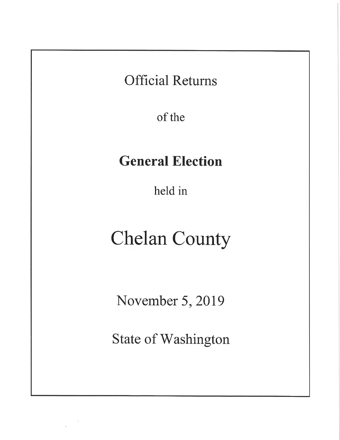# **Official Returns**

of the

# **General Election**

held in

# **Chelan County**

November 5, 2019

**State of Washington**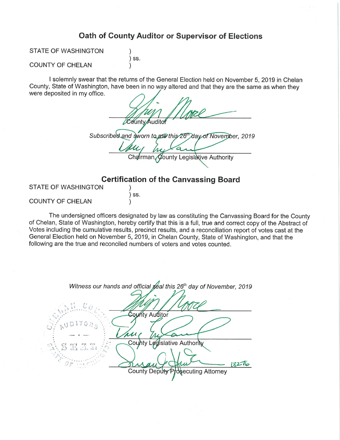# Oath of County Auditor or Supervisor of Elections

STATE OF WASHINGTON

) SS.

# **COUNTY OF CHELAN**

I solemnly swear that the returns of the General Election held on November 5, 2019 in Chelan County, State of Washington, have been in no way altered and that they are the same as when they were deposited in my office.

**County Auditor** Subscribed and sworn to me this 26th day of November, 2019 Chairman County Legislative Authority

# **Certification of the Canvassing Board**

STATE OF WASHINGTON

 $)$  SS.  $\mathcal{E}$ 

 $\mathcal{E}$ 

**COUNTY OF CHELAN** 

The undersigned officers designated by law as constituting the Canvassing Board for the County of Chelan, State of Washington, hereby certify that this is a full, true and correct copy of the Abstract of Votes including the cumulative results, precinct results, and a reconciliation report of votes cast at the General Election held on November 5, 2019, in Chelan County, State of Washington, and that the following are the true and reconciled numbers of voters and votes counted.

| Witness our hands and official geal this 26 <sup>th</sup> day of November, 2019 |
|---------------------------------------------------------------------------------|
|                                                                                 |
| Sounty Auditor                                                                  |
|                                                                                 |
| County Legislative Authority                                                    |
| $: S \times \mathbb{Z}$                                                         |
|                                                                                 |
| County Deputy Prosecuting Attorney                                              |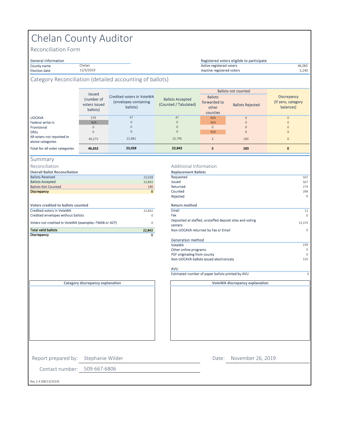# Chelan County Auditor

Chelan 11/5/2019

Reconciliation Form

# General information<br>County name

#### County name 46,065 Active registered voters Election date 3,240 Inactive registered voters Registered voters eligible to participate

# Category Reconciliation (detailed accounting of ballots)

|                                                | <b>Issued</b>                           |                                                                |                                                  |                                                     | <b>Ballots not counted</b> |                                                 |
|------------------------------------------------|-----------------------------------------|----------------------------------------------------------------|--------------------------------------------------|-----------------------------------------------------|----------------------------|-------------------------------------------------|
|                                                | (number of<br>voters issued<br>ballots) | Credited voters in VoteWA<br>(envelopes containing<br>ballots) | <b>Ballots Accepted</b><br>(Counted / Tabulated) | <b>Ballots</b><br>forwarded to<br>other<br>counties | <b>Ballots Rejected</b>    | Discrepancy<br>(If zero, category)<br>balances) |
| <b>UOCAVA</b>                                  | 379                                     | 47                                                             | 47                                               | N/A                                                 | $\overline{0}$             | $\mathbf{0}$                                    |
| Federal write-in                               | N/A                                     | $\Omega$                                                       | $\mathbf{0}$                                     | N/A                                                 | $\Omega$                   | $\Omega$                                        |
| Provisional                                    | $\Omega$                                | $\Omega$                                                       | $\mathbf{0}$                                     | $\mathbf{0}$                                        | $\mathbf{0}$               | $\Omega$                                        |
| <b>DREs</b>                                    | $\Omega$                                | $\Omega$                                                       | $\mathbf{0}$                                     | N/A                                                 | $\mathbf{0}$               | $\Omega$                                        |
| All voters not reported in<br>above categories | 46.273                                  | 22,981                                                         | 22.795                                           | 3                                                   | 183                        | $\mathbf{0}$                                    |
| <b>Total for all voter categories</b>          | 46,652                                  | 23,028                                                         | 22,842                                           |                                                     | 183                        | $\mathbf{0}$                                    |

- Summary
- Reconciliation

| <b>Total valid ballots</b>                            | 22,842      | Non-UOCA             |
|-------------------------------------------------------|-------------|----------------------|
| Voters not credited in VoteWA (examples: FWAB or ACP) | $\mathbf 0$ | Deposited<br>centers |
| Credited envelopes without ballots                    | 0           | Fax                  |
| <b>Credited voters in VoteWA</b>                      | 22.842      | Email                |
| Voters credited to ballots counted                    |             | <b>Return m</b>      |
|                                                       |             | Rejected             |
| <b>Discrepancy</b>                                    | $\circ$     | Counted              |
| <b>Ballots Not Counted</b>                            | 186         | Returned             |
| <b>Ballots Accepted</b>                               | 22,842      | Issued               |
| <b>Ballots Received</b>                               | 23,028      | Requested            |
|                                                       |             |                      |

#### Additional Information

| <b>Overall Ballot Reconciliation</b>                  |              | <b>Replacement Ballots</b>                                          |          |
|-------------------------------------------------------|--------------|---------------------------------------------------------------------|----------|
| <b>Ballots Received</b>                               | 23,028       | Requested                                                           | 507      |
| <b>Ballots Accepted</b>                               | 22,842       | Issued                                                              | 507      |
| <b>Ballots Not Counted</b>                            | 186          | Returned                                                            | 274      |
| <b>Discrepancy</b>                                    | $\mathbf{0}$ | Counted                                                             | 268      |
|                                                       |              | Rejected                                                            | 6        |
| <b>Voters credited to ballots counted</b>             |              | <b>Return method</b>                                                |          |
| <b>Credited voters in VoteWA</b>                      | 22,842       | Email                                                               | 12       |
| Credited envelopes without ballots                    | $\circ$      | Fax                                                                 | $\Omega$ |
| Voters not credited in VoteWA (examples: FWAB or ACP) | $\circ$      | Deposited at staffed, unstaffed deposit sites and voting<br>centers | 13,374   |
| <b>Total valid ballots</b>                            | 22,842       | Non-UOCAVA returned by Fax or Email                                 | $\Omega$ |
| Discrepancy                                           | 0            |                                                                     |          |
|                                                       |              | Generation method                                                   |          |
|                                                       |              | VoteWA                                                              | 239      |
|                                                       |              | Other online programs                                               | $\Omega$ |
|                                                       |              | PDF originating from county                                         | $\cap$   |
|                                                       |              | Non-UOCAVA ballots issued electronicaly                             | 135      |
|                                                       |              |                                                                     |          |

**VoteWA discrepancy explanation**

AVU

Estimated number of paper ballots printed by AVU

**Category discrepancy explanation**

Report prepared by: Stephanie Wilder

Contact number: 509-667-6806

Date: November 26, 2019

Rev 2.4 (08/13/2019)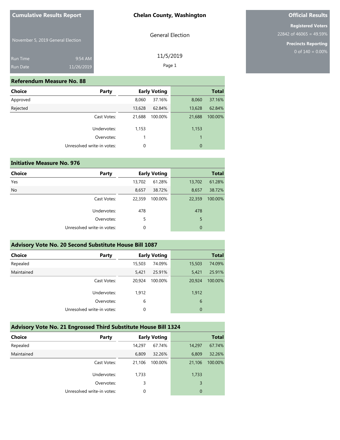General Election

11/5/2019 Page 1

November 5, 2019 General Election

| <b>Run Time</b> | $9:54$ AM  |
|-----------------|------------|
| <b>Run Date</b> | 11/26/2019 |

#### **Referendum Measure No. 88**

| Choice   | Party                      |        | <b>Early Voting</b> |             | <b>Total</b> |
|----------|----------------------------|--------|---------------------|-------------|--------------|
| Approved |                            | 8,060  | 37.16%              | 8,060       | 37.16%       |
| Rejected |                            | 13,628 | 62.84%              | 13,628      | 62.84%       |
|          | Cast Votes:                | 21,688 | 100.00%             | 21,688      | 100.00%      |
|          | Undervotes:                | 1,153  |                     | 1,153       |              |
|          | Overvotes:                 | 1      |                     | 1           |              |
|          | Unresolved write-in votes: | 0      |                     | $\mathbf 0$ |              |
|          |                            |        |                     |             |              |

|               | <b>Initiative Measure No. 976</b> |        |                     |              |              |
|---------------|-----------------------------------|--------|---------------------|--------------|--------------|
| <b>Choice</b> | Party                             |        | <b>Early Voting</b> |              | <b>Total</b> |
| Yes           |                                   | 13,702 | 61.28%              | 13,702       | 61.28%       |
| <b>No</b>     |                                   | 8,657  | 38.72%              | 8,657        | 38.72%       |
|               | Cast Votes:                       | 22,359 | 100.00%             | 22,359       | 100.00%      |
|               | Undervotes:                       | 478    |                     | 478          |              |
|               | Overvotes:                        | 5      |                     | 5            |              |
|               | Unresolved write-in votes:        | 0      |                     | $\mathbf{0}$ |              |
|               |                                   |        |                     |              |              |

| Advisory Vote No. 20 Second Substitute House Bill 1087 |                            |        |                     |             |              |  |  |  |
|--------------------------------------------------------|----------------------------|--------|---------------------|-------------|--------------|--|--|--|
| <b>Choice</b>                                          | Party                      |        | <b>Early Voting</b> |             | <b>Total</b> |  |  |  |
| Repealed                                               |                            | 15,503 | 74.09%              | 15,503      | 74.09%       |  |  |  |
| Maintained                                             |                            | 5.421  | 25.91%              | 5,421       | 25.91%       |  |  |  |
|                                                        | Cast Votes:                | 20.924 | 100.00%             | 20,924      | 100.00%      |  |  |  |
|                                                        | Undervotes:                | 1,912  |                     | 1,912       |              |  |  |  |
|                                                        | Overvotes:                 | 6      |                     | 6           |              |  |  |  |
|                                                        | Unresolved write-in votes: | 0      |                     | $\mathbf 0$ |              |  |  |  |

# **Advisory Vote No. 21 Engrossed Third Substitute House Bill 1324**

| <b>Choice</b> | Party                      |        | <b>Early Voting</b> |                | <b>Total</b> |
|---------------|----------------------------|--------|---------------------|----------------|--------------|
| Repealed      |                            | 14,297 | 67.74%              | 14,297         | 67.74%       |
| Maintained    |                            | 6,809  | 32.26%              | 6,809          | 32.26%       |
|               | Cast Votes:                | 21,106 | 100.00%             | 21,106         | 100.00%      |
|               | Undervotes:                | 1,733  |                     | 1,733          |              |
|               | Overvotes:                 | 3      |                     | 3              |              |
|               | Unresolved write-in votes: | 0      |                     | $\overline{0}$ |              |

# **Official Results**

**Registered Voters** 22842 of 46065 = 49.59%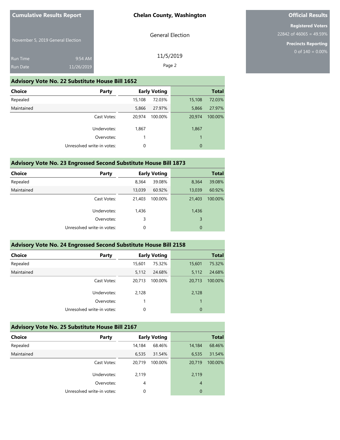General Election

11/5/2019 Page 2

November 5, 2019 General Election

| <b>Run Time</b> | $9:54$ AM  |
|-----------------|------------|
| <b>Run Date</b> | 11/26/2019 |

#### **Advisory Vote No. 22 Substitute House Bill 1652**

| Choice     | Party                      |        | <b>Early Voting</b> |                | <b>Total</b> |
|------------|----------------------------|--------|---------------------|----------------|--------------|
| Repealed   |                            | 15,108 | 72.03%              | 15,108         | 72.03%       |
| Maintained |                            | 5,866  | 27.97%              | 5,866          | 27.97%       |
|            | Cast Votes:                | 20.974 | 100.00%             | 20,974         | 100.00%      |
|            | Undervotes:                | 1,867  |                     | 1,867          |              |
|            | Overvotes:                 |        |                     | 1              |              |
|            | Unresolved write-in votes: | 0      |                     | $\overline{0}$ |              |
|            |                            |        |                     |                |              |

### **Advisory Vote No. 23 Engrossed Second Substitute House Bill 1873**

| <b>Choice</b> | Party                      |        | <b>Early Voting</b> |        | <b>Total</b> |
|---------------|----------------------------|--------|---------------------|--------|--------------|
| Repealed      |                            | 8,364  | 39.08%              | 8,364  | 39.08%       |
| Maintained    |                            | 13,039 | 60.92%              | 13,039 | 60.92%       |
|               | Cast Votes:                | 21,403 | 100.00%             | 21,403 | 100.00%      |
|               | Undervotes:                | 1,436  |                     | 1,436  |              |
|               | Overvotes:                 | 3      |                     | 3      |              |
|               | Unresolved write-in votes: | 0      |                     | 0      |              |

### **Advisory Vote No. 24 Engrossed Second Substitute House Bill 2158**

| <b>Choice</b> | Party                      |        | <b>Early Voting</b> |          | <b>Total</b> |
|---------------|----------------------------|--------|---------------------|----------|--------------|
| Repealed      |                            | 15,601 | 75.32%              | 15,601   | 75.32%       |
| Maintained    |                            | 5,112  | 24.68%              | 5,112    | 24.68%       |
|               | Cast Votes:                | 20,713 | 100.00%             | 20,713   | 100.00%      |
|               | Undervotes:                | 2,128  |                     | 2,128    |              |
|               | Overvotes:                 |        |                     |          |              |
|               | Unresolved write-in votes: | 0      |                     | $\Omega$ |              |
|               |                            |        |                     |          |              |

## **Advisory Vote No. 25 Substitute House Bill 2167**

| <b>Choice</b> | Party                      |        | <b>Early Voting</b> |                | <b>Total</b> |
|---------------|----------------------------|--------|---------------------|----------------|--------------|
| Repealed      |                            | 14,184 | 68.46%              | 14,184         | 68.46%       |
| Maintained    |                            | 6,535  | 31.54%              | 6,535          | 31.54%       |
|               | Cast Votes:                | 20.719 | 100.00%             | 20,719         | 100.00%      |
|               | Undervotes:                | 2,119  |                     | 2,119          |              |
|               | Overvotes:                 | 4      |                     | $\overline{4}$ |              |
|               | Unresolved write-in votes: | 0      |                     | $\overline{0}$ |              |

# **Official Results**

**Registered Voters** 22842 of 46065 = 49.59%

> **Precincts Reporting** 0 of  $140 = 0.00\%$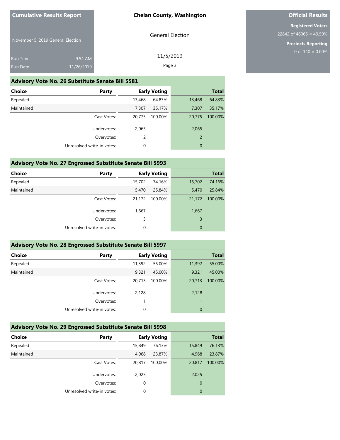General Election

11/5/2019 Page 3

November 5, 2019 General Election

| <b>Run Time</b> | 9:54 AM    |
|-----------------|------------|
| Run Date        | 11/26/2019 |

#### **Advisory Vote No. 26 Substitute Senate Bill 5581**

| <b>Choice</b> | <b>Party</b>               |        | <b>Early Voting</b> |                | <b>Total</b> |
|---------------|----------------------------|--------|---------------------|----------------|--------------|
| Repealed      |                            | 13,468 | 64.83%              | 13,468         | 64.83%       |
| Maintained    |                            | 7,307  | 35.17%              | 7.307          | 35.17%       |
|               | Cast Votes:                | 20,775 | 100.00%             | 20,775         | 100.00%      |
|               | Undervotes:                | 2,065  |                     | 2,065          |              |
|               | Overvotes:                 | 2      |                     | $\overline{2}$ |              |
|               | Unresolved write-in votes: | 0      |                     | $\overline{0}$ |              |
|               |                            |        |                     |                |              |

# **Advisory Vote No. 27 Engrossed Substitute Senate Bill 5993**

| <b>Choice</b> | Party                      |        | <b>Early Voting</b> |             | <b>Total</b> |
|---------------|----------------------------|--------|---------------------|-------------|--------------|
| Repealed      |                            | 15,702 | 74.16%              | 15,702      | 74.16%       |
| Maintained    |                            | 5,470  | 25.84%              | 5,470       | 25.84%       |
|               | Cast Votes:                | 21,172 | 100.00%             | 21,172      | 100.00%      |
|               | Undervotes:                | 1,667  |                     | 1,667       |              |
|               | Overvotes:                 | 3      |                     | 3           |              |
|               | Unresolved write-in votes: | 0      |                     | $\mathbf 0$ |              |
|               |                            |        |                     |             |              |

| Advisory Vote No. 28 Engrossed Substitute Senate Bill 5997 |        |         |                     |              |  |  |
|------------------------------------------------------------|--------|---------|---------------------|--------------|--|--|
| Party                                                      |        |         |                     | <b>Total</b> |  |  |
|                                                            | 11,392 | 55.00%  | 11,392              | 55.00%       |  |  |
|                                                            | 9.321  | 45.00%  | 9,321               | 45.00%       |  |  |
| Cast Votes:                                                | 20.713 | 100.00% | 20.713              | 100.00%      |  |  |
| Undervotes:                                                | 2,128  |         | 2,128               |              |  |  |
| Overvotes:                                                 |        |         |                     |              |  |  |
| Unresolved write-in votes:                                 | 0      |         | $\overline{0}$      |              |  |  |
|                                                            |        |         | <b>Early Voting</b> |              |  |  |

# **Advisory Vote No. 29 Engrossed Substitute Senate Bill 5998**

| <b>Choice</b> | Party                      |        | <b>Early Voting</b> |                | <b>Total</b> |
|---------------|----------------------------|--------|---------------------|----------------|--------------|
| Repealed      |                            | 15,849 | 76.13%              | 15,849         | 76.13%       |
| Maintained    |                            | 4,968  | 23.87%              | 4,968          | 23.87%       |
|               | Cast Votes:                | 20,817 | 100.00%             | 20,817         | 100.00%      |
|               | Undervotes:                | 2,025  |                     | 2,025          |              |
|               | Overvotes:                 | 0      |                     | $\overline{0}$ |              |
|               | Unresolved write-in votes: | 0      |                     | 0              |              |

# **Official Results**

**Registered Voters** 22842 of 46065 = 49.59%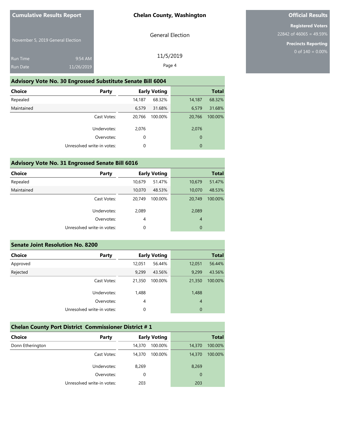General Election

11/5/2019 Page 4

November 5, 2019 General Election

| <b>Run Time</b> | $9:54$ AM  |
|-----------------|------------|
| Run Date        | 11/26/2019 |

**Advisory Vote No. 30 Engrossed Substitute Senate Bill 6004**

| Choice     | Party                      |        | <b>Early Voting</b> |        | <b>Total</b> |
|------------|----------------------------|--------|---------------------|--------|--------------|
| Repealed   |                            | 14,187 | 68.32%              | 14,187 | 68.32%       |
| Maintained |                            | 6,579  | 31.68%              | 6,579  | 31.68%       |
|            | Cast Votes:                | 20,766 | 100.00%             | 20,766 | 100.00%      |
|            | Undervotes:                | 2,076  |                     | 2,076  |              |
|            | Overvotes:                 | 0      |                     | 0      |              |
|            | Unresolved write-in votes: | 0      |                     | 0      |              |
|            |                            |        |                     |        |              |

# **Advisory Vote No. 31 Engrossed Senate Bill 6016**

| <b>Choice</b> | Party                      |             | <b>Early Voting</b> |                | <b>Total</b> |
|---------------|----------------------------|-------------|---------------------|----------------|--------------|
| Repealed      |                            | 10,679      | 51.47%              | 10,679         | 51.47%       |
| Maintained    |                            | 10,070      | 48.53%              | 10,070         | 48.53%       |
|               | Cast Votes:                | 20,749      | 100.00%             | 20,749         | 100.00%      |
|               | Undervotes:                | 2,089       |                     | 2,089          |              |
|               | Overvotes:                 | 4           |                     | $\overline{4}$ |              |
|               | Unresolved write-in votes: | $\mathbf 0$ |                     | $\mathbf{0}$   |              |
|               |                            |             |                     |                |              |

| <b>Senate Joint Resolution No. 8200</b> |                            |        |                     |                |              |  |
|-----------------------------------------|----------------------------|--------|---------------------|----------------|--------------|--|
| <b>Choice</b>                           | Party                      |        | <b>Early Voting</b> |                | <b>Total</b> |  |
| Approved                                |                            | 12,051 | 56.44%              | 12,051         | 56.44%       |  |
| Rejected                                |                            | 9,299  | 43.56%              | 9,299          | 43.56%       |  |
|                                         | Cast Votes:                | 21,350 | 100.00%             | 21,350         | 100.00%      |  |
|                                         | Undervotes:                | 1,488  |                     | 1,488          |              |  |
|                                         | Overvotes:                 | 4      |                     | $\overline{4}$ |              |  |
|                                         | Unresolved write-in votes: | 0      |                     | $\mathbf 0$    |              |  |

| <b>Chelan County Port District Commissioner District #1</b> |  |
|-------------------------------------------------------------|--|
|                                                             |  |

| <b>Choice</b>    | <b>Early Voting</b><br>Party |          | <b>Total</b> |                |         |
|------------------|------------------------------|----------|--------------|----------------|---------|
| Donn Etherington |                              | 14,370   | 100.00%      | 14,370         | 100.00% |
|                  | Cast Votes:                  | 14,370   | 100.00%      | 14,370         | 100.00% |
|                  | Undervotes:                  | 8,269    |              | 8,269          |         |
|                  | Overvotes:                   | $\Omega$ |              | $\overline{0}$ |         |
|                  | Unresolved write-in votes:   | 203      |              | 203            |         |

# **Official Results**

**Registered Voters** 22842 of 46065 = 49.59%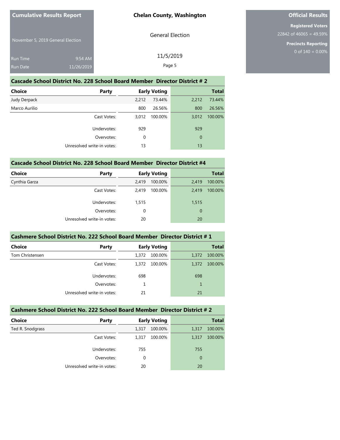November 5, 2019 General Election

| Run Time | $9:54$ AM  |
|----------|------------|
| Run Date | 11/26/2019 |

General Election

11/5/2019 Page 5

# **Official Results**

**Registered Voters** 22842 of 46065 = 49.59%

> **Precincts Reporting** 0 of  $140 = 0.00\%$

#### **Cascade School District No. 228 School Board Member Director District # 2**

| Choice                     | Party       |       | <b>Early Voting</b> |                  | <b>Total</b> |
|----------------------------|-------------|-------|---------------------|------------------|--------------|
| Judy Derpack               |             | 2,212 | 73.44%              | 2,212            | 73.44%       |
| Marco Aurilio              |             | 800   | 26.56%              | 800              | 26.56%       |
|                            | Cast Votes: | 3,012 | 100.00%             | 3,012            | 100.00%      |
|                            | Undervotes: | 929   |                     | 929              |              |
|                            | Overvotes:  | 0     |                     | $\boldsymbol{0}$ |              |
| Unresolved write-in votes: |             | 13    |                     | 13               |              |

#### **Cascade School District No. 228 School Board Member Director District #4**

| <b>Choice</b> | Party                      |          | <b>Early Voting</b> |       | <b>Total</b> |
|---------------|----------------------------|----------|---------------------|-------|--------------|
| Cynthia Garza |                            | 2,419    | 100.00%             | 2,419 | 100.00%      |
|               | Cast Votes:                | 2.419    | 100.00%             | 2,419 | 100.00%      |
|               | Undervotes:                | 1,515    |                     | 1,515 |              |
|               | Overvotes:                 | $\Omega$ |                     | 0     |              |
|               | Unresolved write-in votes: | 20       |                     | 20    |              |

#### **Cashmere School District No. 222 School Board Member Director District # 1**

| Choice          | Party                      |       | <b>Early Voting</b> |       | <b>Total</b> |
|-----------------|----------------------------|-------|---------------------|-------|--------------|
| Tom Christensen |                            | 1,372 | 100.00%             | 1,372 | 100.00%      |
|                 | Cast Votes:                | 1.372 | 100.00%             | 1,372 | 100.00%      |
|                 | Undervotes:                | 698   |                     | 698   |              |
|                 | Overvotes:                 |       |                     |       |              |
|                 | Unresolved write-in votes: | 21    |                     | 21    |              |

#### **Cashmere School District No. 222 School Board Member Director District # 2**

| <b>Choice</b>    | Party                      |       | <b>Early Voting</b> |              | <b>Total</b> |
|------------------|----------------------------|-------|---------------------|--------------|--------------|
| Ted R. Snodgrass |                            | 1,317 | 100.00%             | 1,317        | 100.00%      |
|                  | Cast Votes:                | 1,317 | 100.00%             | 1,317        | 100.00%      |
|                  | Undervotes:                | 755   |                     | 755          |              |
|                  | Overvotes:                 | 0     |                     | $\mathbf{0}$ |              |
|                  | Unresolved write-in votes: | 20    |                     | 20           |              |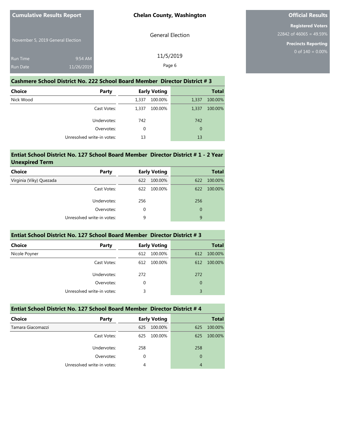November 5, 2019 General Election

| <b>Run Time</b> | $9:54$ AM  |
|-----------------|------------|
| <b>Run Date</b> | 11/26/2019 |

General Election

11/5/2019 Page 6

**Official Results**

**Registered Voters** 22842 of 46065 = 49.59%

> **Precincts Reporting** 0 of  $140 = 0.00\%$

#### **Cashmere School District No. 222 School Board Member Director District # 3**

| <b>Choice</b> | Party                      |       | <b>Early Voting</b> |             | <b>Total</b> |
|---------------|----------------------------|-------|---------------------|-------------|--------------|
| Nick Wood     |                            | 1,337 | 100.00%             | 1,337       | 100.00%      |
|               | Cast Votes:                | 1,337 | 100.00%             | 1,337       | 100.00%      |
|               | Undervotes:                | 742   |                     | 742         |              |
|               | Overvotes:                 | 0     |                     | $\mathbf 0$ |              |
|               | Unresolved write-in votes: |       |                     | 13          |              |

#### **Entiat School District No. 127 School Board Member Director District # 1 - 2 Year Unexpired Term**

| Party                      |     |         |                     | <b>Total</b> |
|----------------------------|-----|---------|---------------------|--------------|
|                            | 622 | 100.00% | 622                 | 100.00%      |
| Cast Votes:                | 622 | 100.00% | 622                 | 100.00%      |
| Undervotes:                | 256 |         | 256                 |              |
| Overvotes:                 | 0   |         | $\mathbf 0$         |              |
| Unresolved write-in votes: | 9   |         | 9                   |              |
|                            |     |         | <b>Early Voting</b> |              |

#### **Entiat School District No. 127 School Board Member Director District # 3**

| <b>Choice</b><br>Party     |     | <b>Early Voting</b> |             | <b>Total</b> |
|----------------------------|-----|---------------------|-------------|--------------|
| Nicole Poyner              | 612 | 100.00%             | 612         | 100.00%      |
| Cast Votes:                | 612 | 100.00%             | 612         | 100.00%      |
| Undervotes:                | 272 |                     | 272         |              |
| Overvotes:                 | 0   |                     | $\mathbf 0$ |              |
| Unresolved write-in votes: | 3   |                     | 3           |              |

### **Entiat School District No. 127 School Board Member Director District # 4**

| <b>Choice</b>     | Party                      |     | <b>Early Voting</b> |             | <b>Total</b> |
|-------------------|----------------------------|-----|---------------------|-------------|--------------|
| Tamara Giacomazzi |                            | 625 | 100.00%             | 625         | 100.00%      |
|                   | Cast Votes:                | 625 | 100.00%             | 625         | 100.00%      |
|                   | Undervotes:                | 258 |                     | 258         |              |
|                   | Overvotes:                 | 0   |                     | $\mathbf 0$ |              |
|                   | Unresolved write-in votes: | 4   |                     | 4           |              |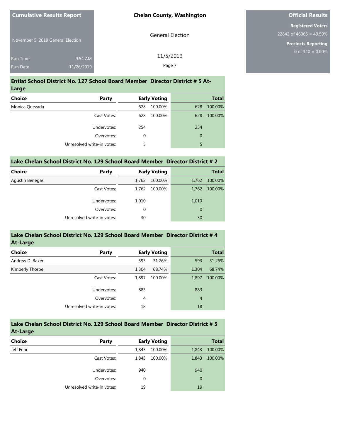| <b>Cumulative Results Report</b>   |                       | <b>Chelan County, Washington</b> |
|------------------------------------|-----------------------|----------------------------------|
| November 5, 2019 General Election  |                       | <b>General Election</b>          |
| <b>Run Time</b><br><b>Run Date</b> | 9:54 AM<br>11/26/2019 | 11/5/2019<br>Page 7              |

#### **Entiat School District No. 127 School Board Member Director District # 5 At-Large**

| Party                      |     |         |                     | <b>Total</b> |
|----------------------------|-----|---------|---------------------|--------------|
|                            | 628 | 100.00% | 628                 | 100.00%      |
| Cast Votes:                | 628 | 100.00% | 628                 | 100.00%      |
| Undervotes:                | 254 |         | 254                 |              |
| Overvotes:                 | 0   |         | $\overline{0}$      |              |
| Unresolved write-in votes: | 5   |         | 5                   |              |
|                            |     |         | <b>Early Voting</b> |              |

| Lake Chelan School District No. 129 School Board Member Director District # 2 |  |  |  |
|-------------------------------------------------------------------------------|--|--|--|
|                                                                               |  |  |  |

| <b>Choice</b>   | <b>Party</b>               |          | <b>Early Voting</b> |       | <b>Total</b> |
|-----------------|----------------------------|----------|---------------------|-------|--------------|
| Agustin Benegas |                            | 1,762    | 100.00%             | 1,762 | 100.00%      |
|                 | Cast Votes:                | 1,762    | 100.00%             | 1,762 | 100.00%      |
|                 | Undervotes:                | 1,010    |                     | 1,010 |              |
|                 | Overvotes:                 | $\Omega$ |                     | 0     |              |
|                 | Unresolved write-in votes: | 30       |                     | 30    |              |

| Lake Chelan School District No. 129 School Board Member Director District #4 |  |
|------------------------------------------------------------------------------|--|
| At-Large                                                                     |  |

| ------          |                            |       |                     |                |              |
|-----------------|----------------------------|-------|---------------------|----------------|--------------|
| <b>Choice</b>   | Party                      |       | <b>Early Voting</b> |                | <b>Total</b> |
| Andrew D. Baker |                            | 593   | 31.26%              | 593            | 31.26%       |
| Kimberly Thorpe |                            | 1,304 | 68.74%              | 1,304          | 68.74%       |
|                 | Cast Votes:                | 1,897 | 100.00%             | 1,897          | 100.00%      |
|                 | Undervotes:                | 883   |                     | 883            |              |
|                 | Overvotes:                 | 4     |                     | $\overline{4}$ |              |
|                 | Unresolved write-in votes: | 18    |                     | 18             |              |

#### **Lake Chelan School District No. 129 School Board Member Director District # 5 At-Large**

| -------       |                            |                     |              |              |
|---------------|----------------------------|---------------------|--------------|--------------|
| <b>Choice</b> | <b>Party</b>               | <b>Early Voting</b> |              | <b>Total</b> |
| Jeff Fehr     |                            | 100.00%<br>1,843    | 1,843        | 100.00%      |
|               | Cast Votes:                | 100.00%<br>1,843    | 1,843        | 100.00%      |
|               | Undervotes:                | 940                 | 940          |              |
|               | Overvotes:                 | 0                   | $\mathbf{0}$ |              |
|               | Unresolved write-in votes: | 19                  | 19           |              |

# **Official Results**

**Registered Voters** 22842 of 46065 = 49.59%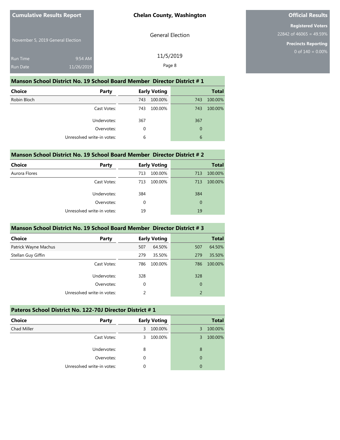November 5, 2019 General Election

| <b>Run Time</b> | $9:54$ AM  |  |
|-----------------|------------|--|
| <b>Run Date</b> | 11/26/2019 |  |

General Election

11/5/2019 Page 8

**Official Results**

**Registered Voters** 22842 of 46065 = 49.59%

> **Precincts Reporting** 0 of  $140 = 0.00\%$

#### **Manson School District No. 19 School Board Member Director District # 1**

| <b>Choice</b> | Party                      |     | <b>Early Voting</b> |             | <b>Total</b> |
|---------------|----------------------------|-----|---------------------|-------------|--------------|
| Robin Bloch   |                            | 743 | 100.00%             | 743         | 100.00%      |
|               | Cast Votes:                | 743 | 100.00%             | 743         | 100.00%      |
|               | Undervotes:                | 367 |                     | 367         |              |
|               | Overvotes:                 | 0   |                     | $\mathbf 0$ |              |
|               | Unresolved write-in votes: | 6   |                     | 6           |              |

#### **Manson School District No. 19 School Board Member Director District # 2**

| Choice        | Party                      | <b>Early Voting</b> | <b>Total</b>   |
|---------------|----------------------------|---------------------|----------------|
| Aurora Flores |                            | 100.00%<br>713      | 100.00%<br>713 |
|               | Cast Votes:                | 100.00%<br>713      | 100.00%<br>713 |
|               | Undervotes:                | 384                 | 384            |
|               | Overvotes:                 | 0                   | 0              |
|               | Unresolved write-in votes: | 19                  | 19             |

#### **Manson School District No. 19 School Board Member Director District # 3**

| <b>Choice</b>        | Party                      |     | <b>Early Voting</b> |                | <b>Total</b> |
|----------------------|----------------------------|-----|---------------------|----------------|--------------|
| Patrick Wayne Machus |                            | 507 | 64.50%              | 507            | 64.50%       |
| Stellan Guy Giffin   |                            | 279 | 35.50%              | 279            | 35.50%       |
|                      | Cast Votes:                | 786 | 100.00%             | 786            | 100.00%      |
|                      | Undervotes:                | 328 |                     | 328            |              |
|                      | Overvotes:                 | 0   |                     | $\mathbf 0$    |              |
|                      | Unresolved write-in votes: | 2   |                     | $\overline{2}$ |              |

### **Pateros School District No. 122-70J Director District # 1**

| <b>Choice</b><br><b>Party</b> | <b>Early Voting</b> | <b>Total</b> |
|-------------------------------|---------------------|--------------|
| Chad Miller                   | 100.00%<br>3        | 100.00%<br>3 |
| Cast Votes:                   | 100.00%<br>3        | 100.00%<br>3 |
| Undervotes:                   | 8                   | 8            |
| Overvotes:                    | 0                   | $\mathbf 0$  |
| Unresolved write-in votes:    | 0                   | $\mathbf 0$  |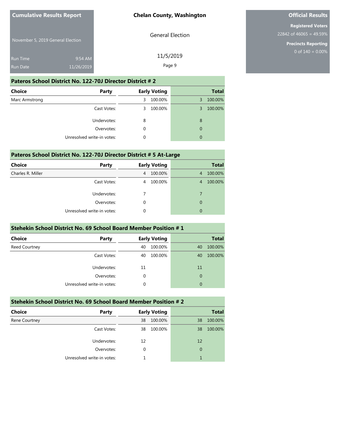November 5, 2019 General Election

| <b>Run Time</b> | $9:54$ AM  |
|-----------------|------------|
| <b>Run Date</b> | 11/26/2019 |

General Election

**Official Results**

**Registered Voters** 22842 of 46065 = 49.59%

> **Precincts Reporting** 0 of  $140 = 0.00\%$

Page 9

#### **Pateros School District No. 122-70J Director District # 2**

| Choice<br>Party            | <b>Early Voting</b> | <b>Total</b> |
|----------------------------|---------------------|--------------|
| Marc Armstrong             | 100.00%<br>3        | 100.00%<br>3 |
| Cast Votes:                | 100.00%<br>3        | 100.00%<br>3 |
| Undervotes:                | 8                   | 8            |
| Overvotes:                 | 0                   | $\mathbf 0$  |
| Unresolved write-in votes: | 0                   | $\mathbf 0$  |

#### **Pateros School District No. 122-70J Director District # 5 At-Large**

| <b>Choice</b>     | Party                      | <b>Early Voting</b> | <b>Total</b> |
|-------------------|----------------------------|---------------------|--------------|
| Charles R. Miller |                            | 100.00%<br>4        | 100.00%<br>4 |
|                   | Cast Votes:                | 100.00%<br>4        | 100.00%<br>4 |
|                   | Undervotes:                |                     | 7            |
|                   | Overvotes:                 | $\Omega$            | 0            |
|                   | Unresolved write-in votes: | 0                   | $\mathbf 0$  |

#### **Stehekin School District No. 69 School Board Member Position # 1**

| <b>Choice</b> | Party                      | <b>Early Voting</b> | <b>Total</b>  |
|---------------|----------------------------|---------------------|---------------|
| Reed Courtney |                            | 100.00%<br>40       | 100.00%<br>40 |
|               | Cast Votes:                | 100.00%<br>40       | 100.00%<br>40 |
|               | Undervotes:                | 11                  | 11            |
|               | Overvotes:                 | 0                   | $\mathbf 0$   |
|               | Unresolved write-in votes: | 0                   | 0             |

### **Stehekin School District No. 69 School Board Member Position # 2**

| <b>Choice</b> | <b>Party</b>               |    | <b>Early Voting</b> |             | <b>Total</b> |
|---------------|----------------------------|----|---------------------|-------------|--------------|
| Rene Courtney |                            | 38 | 100.00%             | 38          | 100.00%      |
|               | Cast Votes:                | 38 | 100.00%             | 38          | 100.00%      |
|               | Undervotes:                | 12 |                     | 12          |              |
|               | Overvotes:                 | 0  |                     | $\mathbf 0$ |              |
|               | Unresolved write-in votes: |    |                     |             |              |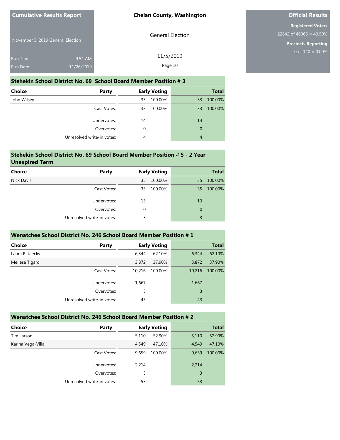General Election

11/5/2019 Page 10

November 5, 2019 General Election

| <b>Run Time</b> | $9:54$ AM  |
|-----------------|------------|
| <b>Run Date</b> | 11/26/2019 |

#### **Stehekin School District No. 69 School Board Member Position # 3**

| <b>Choice</b><br><b>Party</b> |    | <b>Early Voting</b> |             | <b>Total</b> |
|-------------------------------|----|---------------------|-------------|--------------|
| John Wilsey                   | 33 | 100.00%             | 33          | 100.00%      |
| Cast Votes:                   | 33 | 100.00%             | 33          | 100.00%      |
| Undervotes:                   | 14 |                     | 14          |              |
| Overvotes:                    | 0  |                     | $\mathbf 0$ |              |
| Unresolved write-in votes:    | 4  |                     | 4           |              |

#### **Stehekin School District No. 69 School Board Member Position # 5 - 2 Year Unexpired Term**

| <b>Choice</b>     | <b>Party</b>               |          | <b>Early Voting</b> |             | <b>Total</b> |
|-------------------|----------------------------|----------|---------------------|-------------|--------------|
| <b>Nick Davis</b> |                            | 35       | 100.00%             | 35          | 100.00%      |
|                   | Cast Votes:                | 35       | 100.00%             | 35          | 100.00%      |
|                   | Undervotes:                | 13       |                     | 13          |              |
|                   | Overvotes:                 | $\Omega$ |                     | $\mathbf 0$ |              |
|                   | Unresolved write-in votes: | 3        |                     | 3           |              |
|                   |                            |          |                     |             |              |

#### **Wenatchee School District No. 246 School Board Member Position # 1**

| <b>Choice</b>   | Party                      | <b>Early Voting</b> |         | <b>Total</b> |         |
|-----------------|----------------------------|---------------------|---------|--------------|---------|
| Laura R. Jaecks |                            | 6,344               | 62.10%  | 6,344        | 62.10%  |
| Meliesa Tigard  |                            | 3,872               | 37.90%  | 3,872        | 37.90%  |
|                 | Cast Votes:                | 10,216              | 100.00% | 10,216       | 100.00% |
|                 | Undervotes:                | 1,667               |         | 1,667        |         |
|                 | Overvotes:                 | 3                   |         | 3            |         |
|                 | Unresolved write-in votes: | 43                  |         | 43           |         |
|                 |                            |                     |         |              |         |

### **Wenatchee School District No. 246 School Board Member Position # 2**

| <b>Choice</b>     | Party                      | <b>Early Voting</b> |         | <b>Total</b> |         |
|-------------------|----------------------------|---------------------|---------|--------------|---------|
| Tim Larson        |                            | 5,110               | 52.90%  | 5,110        | 52.90%  |
| Karina Vega-Villa |                            | 4,549               | 47.10%  | 4,549        | 47.10%  |
|                   | Cast Votes:                | 9,659               | 100.00% | 9,659        | 100.00% |
|                   | Undervotes:                | 2,214               |         | 2,214        |         |
|                   | Overvotes:                 | 3                   |         | 3            |         |
|                   | Unresolved write-in votes: | 53                  |         | 53           |         |

# **Official Results**

**Registered Voters** 22842 of 46065 = 49.59%

> **Precincts Reporting** 0 of  $140 = 0.00\%$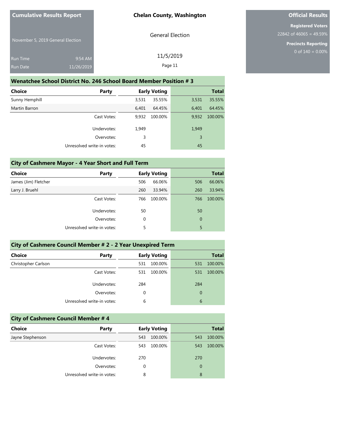General Election

November 5, 2019 General Election

| <b>Run Time</b> | $9:54$ AM  | 11/5/2019 |
|-----------------|------------|-----------|
| <b>Run Date</b> | 11/26/2019 | Page 11   |

## **Wenatchee School District No. 246 School Board Member Position # 3**

| Choice<br>Party            | <b>Early Voting</b> |         | <b>Total</b> |         |
|----------------------------|---------------------|---------|--------------|---------|
| Sunny Hemphill             | 3,531               | 35.55%  | 3,531        | 35.55%  |
| Martin Barron              | 6,401               | 64.45%  | 6,401        | 64.45%  |
| Cast Votes:                | 9,932               | 100.00% | 9,932        | 100.00% |
| Undervotes:                | 1,949               |         | 1,949        |         |
| Overvotes:                 | 3                   |         | 3            |         |
| Unresolved write-in votes: | 45                  |         | 45           |         |

# **City of Cashmere Mayor - 4 Year Short and Full Term**

| <b>Choice</b>        | Party                      |     | <b>Early Voting</b> |     | <b>Total</b> |
|----------------------|----------------------------|-----|---------------------|-----|--------------|
| James (Jim) Fletcher |                            | 506 | 66.06%              | 506 | 66.06%       |
| Larry J. Bruehl      |                            | 260 | 33.94%              | 260 | 33.94%       |
|                      | Cast Votes:                | 766 | 100.00%             | 766 | 100.00%      |
|                      | Undervotes:                | 50  |                     | 50  |              |
|                      | Overvotes:                 | 0   |                     | 0   |              |
|                      | Unresolved write-in votes: | 5   |                     | 5   |              |
|                      |                            |     |                     |     |              |

| City of Cashmere Council Member # 2 - 2 Year Unexpired Term |                                                                                                                                                                                                                                  |                     |                      |  |  |  |
|-------------------------------------------------------------|----------------------------------------------------------------------------------------------------------------------------------------------------------------------------------------------------------------------------------|---------------------|----------------------|--|--|--|
| Choice                                                      | Party                                                                                                                                                                                                                            | <b>Early Voting</b> | <b>Total</b>         |  |  |  |
| Christopher Carlson                                         |                                                                                                                                                                                                                                  | 100.00%<br>531      | 531 100.00%          |  |  |  |
|                                                             | Cast Votes:                                                                                                                                                                                                                      | 531 100.00%         | 531 100,00%          |  |  |  |
|                                                             | $\cdots$ . The contract of the contract of the contract of the contract of the contract of the contract of the contract of the contract of the contract of the contract of the contract of the contract of the contract of the c |                     | $\sim$ $\sim$ $\sim$ |  |  |  |

| 284 | 284 | Undervotes:                |
|-----|-----|----------------------------|
|     |     | Overvotes:                 |
|     |     | Unresolved write-in votes: |

| <b>City of Cashmere Council Member #4</b> |                            |          |                     |             |              |  |
|-------------------------------------------|----------------------------|----------|---------------------|-------------|--------------|--|
| <b>Choice</b>                             | Party                      |          | <b>Early Voting</b> |             | <b>Total</b> |  |
| Jayne Stephenson                          |                            | 543      | 100.00%             | 543         | 100.00%      |  |
|                                           | Cast Votes:                | 543      | 100.00%             | 543         | 100.00%      |  |
|                                           | Undervotes:                | 270      |                     | 270         |              |  |
|                                           | Overvotes:                 | $\Omega$ |                     | $\mathbf 0$ |              |  |
|                                           | Unresolved write-in votes: | 8        |                     | 8           |              |  |

# **Official Results**

**Registered Voters** 22842 of 46065 = 49.59%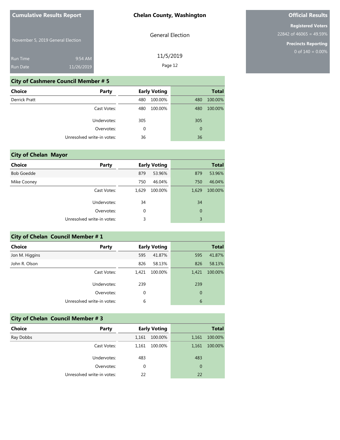November 5, 2019 General Election

| <b>Run Time</b> | $9:54$ AM  |
|-----------------|------------|
| <b>Run Date</b> | 11/26/2019 |

General Election

# **Official Results**

**Registered Voters** 22842 of 46065 = 49.59%

**Precincts Reporting**

| 11/5/2019 |
|-----------|

Page 12

# **City of Cashmere Council Member # 5**

| Choice               | <b>Party</b>               |     | <b>Early Voting</b> |                | <b>Total</b> |
|----------------------|----------------------------|-----|---------------------|----------------|--------------|
| <b>Derrick Pratt</b> |                            | 480 | 100.00%             | 480            | 100.00%      |
|                      | Cast Votes:                | 480 | 100.00%             | 480            | 100.00%      |
|                      | Undervotes:                | 305 |                     | 305            |              |
|                      | Overvotes:                 | 0   |                     | $\overline{0}$ |              |
|                      | Unresolved write-in votes: | 36  |                     | 36             |              |

| <b>City of Chelan Mayor</b> |                            |       |                     |             |              |
|-----------------------------|----------------------------|-------|---------------------|-------------|--------------|
| <b>Choice</b>               | Party                      |       | <b>Early Voting</b> |             | <b>Total</b> |
| <b>Bob Goedde</b>           |                            | 879   | 53.96%              | 879         | 53.96%       |
| Mike Cooney                 |                            | 750   | 46.04%              | 750         | 46.04%       |
|                             | Cast Votes:                | 1,629 | 100.00%             | 1,629       | 100.00%      |
|                             | Undervotes:                | 34    |                     | 34          |              |
|                             | Overvotes:                 | 0     |                     | $\mathbf 0$ |              |
|                             | Unresolved write-in votes: | 3     |                     | 3           |              |

| <b>City of Chelan Council Member # 1</b> |                            |       |                     |                |              |  |  |
|------------------------------------------|----------------------------|-------|---------------------|----------------|--------------|--|--|
| <b>Choice</b>                            | Party                      |       | <b>Early Voting</b> |                | <b>Total</b> |  |  |
| Jon M. Higgins                           |                            | 595   | 41.87%              | 595            | 41.87%       |  |  |
| John R. Olson                            |                            | 826   | 58.13%              | 826            | 58.13%       |  |  |
|                                          | Cast Votes:                | 1,421 | 100.00%             | 1,421          | 100.00%      |  |  |
|                                          | Undervotes:                | 239   |                     | 239            |              |  |  |
|                                          | Overvotes:                 | 0     |                     | $\overline{0}$ |              |  |  |
|                                          | Unresolved write-in votes: | 6     |                     | 6              |              |  |  |

| <b>City of Chelan Council Member #3</b> |                            |       |                     |             |              |  |
|-----------------------------------------|----------------------------|-------|---------------------|-------------|--------------|--|
| <b>Choice</b>                           | Party                      |       | <b>Early Voting</b> |             | <b>Total</b> |  |
| Ray Dobbs                               |                            | 1,161 | 100.00%             | 1,161       | 100.00%      |  |
|                                         | Cast Votes:                | 1,161 | 100.00%             | 1,161       | 100.00%      |  |
|                                         | Undervotes:                | 483   |                     | 483         |              |  |
|                                         | Overvotes:                 | 0     |                     | $\mathbf 0$ |              |  |
|                                         | Unresolved write-in votes: | 22    |                     | 22          |              |  |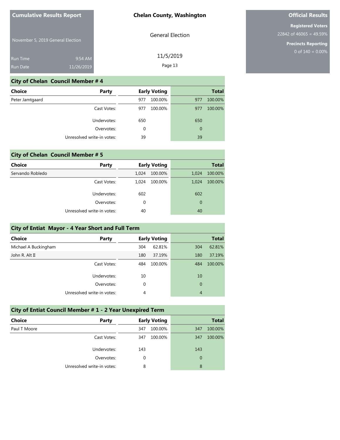November 5, 2019 General Election

| <b>General Election</b> |
|-------------------------|
|                         |

11/5/2019 Page 13

**Precincts Reporting**

#### **City of Chelan Council Member # 4**

| <b>Choice</b>   | Party                      |          | <b>Early Voting</b> |     | <b>Total</b> |
|-----------------|----------------------------|----------|---------------------|-----|--------------|
| Peter Jamtgaard |                            | 977      | 100.00%             | 977 | 100.00%      |
|                 | Cast Votes:                | 977      | 100.00%             | 977 | 100.00%      |
|                 | Undervotes:                | 650      |                     | 650 |              |
|                 | Overvotes:                 | $\Omega$ |                     | 0   |              |
|                 | Unresolved write-in votes: | 39       |                     | 39  |              |

|                  | <b>City of Chelan Council Member # 5</b> |       |                     |                |              |
|------------------|------------------------------------------|-------|---------------------|----------------|--------------|
| <b>Choice</b>    | Party                                    |       | <b>Early Voting</b> |                | <b>Total</b> |
| Servando Robledo |                                          | 1,024 | 100.00%             | 1,024          | 100.00%      |
|                  | Cast Votes:                              | 1.024 | 100.00%             | 1.024          | 100.00%      |
|                  | Undervotes:                              | 602   |                     | 602            |              |
|                  | Overvotes:                               | 0     |                     | $\overline{0}$ |              |
|                  | Unresolved write-in votes:               | 40    |                     | 40             |              |

| City of Entiat Mayor - 4 Year Short and Full Term |  |     |                     |             |              |
|---------------------------------------------------|--|-----|---------------------|-------------|--------------|
| <b>Choice</b><br>Party                            |  |     | <b>Early Voting</b> |             | <b>Total</b> |
| Michael A Buckingham                              |  | 304 | 62.81%              | 304         | 62.81%       |
| John R. Alt II                                    |  | 180 | 37.19%              | 180         | 37.19%       |
| Cast Votes:                                       |  | 484 | 100.00%             | 484         | 100.00%      |
| Undervotes:                                       |  | 10  |                     | 10          |              |
| Overvotes:                                        |  | 0   |                     | $\mathbf 0$ |              |
| Unresolved write-in votes:                        |  | 4   |                     | 4           |              |

# **City of Entiat Council Member # 1 - 2 Year Unexpired Term**

| <b>Choice</b> | Party                      |     | <b>Early Voting</b> |     | <b>Total</b> |
|---------------|----------------------------|-----|---------------------|-----|--------------|
| Paul T Moore  |                            | 347 | 100.00%             | 347 | 100.00%      |
|               | Cast Votes:                | 347 | 100.00%             | 347 | 100.00%      |
|               | Undervotes:                | 143 |                     | 143 |              |
|               | Overvotes:                 | 0   |                     | 0   |              |
|               | Unresolved write-in votes: | 8   |                     | 8   |              |

# **Official Results Registered Voters**

22842 of 46065 = 49.59%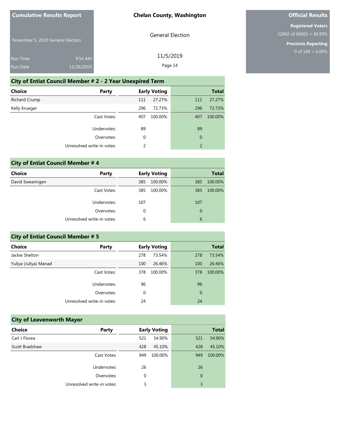General Election

November 5, 2019 General Election

| Run Time | $9:54$ AM  | 11/5/2019 |
|----------|------------|-----------|
| Run Date | 11/26/2019 | Page 14   |

# **City of Entiat Council Member # 2 - 2 Year Unexpired Term**

| Choice        | Party                      |     | <b>Early Voting</b> |                  | <b>Total</b> |
|---------------|----------------------------|-----|---------------------|------------------|--------------|
| Richard Crump |                            | 111 | 27.27%              | 111              | 27.27%       |
| Kelly Krueger |                            | 296 | 72.73%              | 296              | 72.73%       |
|               | Cast Votes:                | 407 | 100.00%             | 407              | 100.00%      |
|               | Undervotes:                | 89  |                     | 89               |              |
|               | Overvotes:                 | 0   |                     | $\boldsymbol{0}$ |              |
|               | Unresolved write-in votes: | 2   |                     | $\overline{2}$   |              |
|               |                            |     |                     |                  |              |

# **City of Entiat Council Member # 4 Choice Party Early Voting Total** David Swearingen 385 100.00% 385 100.00% Cast Votes: 385 100.00% 385 100.00% Undervotes: 107 107 Overvotes: 0 0

| <b>City of Entiat Council Member # 5</b> |                            |             |                     |                |              |
|------------------------------------------|----------------------------|-------------|---------------------|----------------|--------------|
| Choice                                   | <b>Party</b>               |             | <b>Early Voting</b> |                | <b>Total</b> |
| Jackie Shelton                           |                            | 278         | 73.54%              | 278            | 73.54%       |
| Yuliya (Juliya) Manad                    |                            | 100         | 26.46%              | 100            | 26.46%       |
|                                          | Cast Votes:                | 378         | 100.00%             | 378            | 100.00%      |
|                                          | Undervotes:                | 96          |                     | 96             |              |
|                                          | Overvotes:                 | $\mathbf 0$ |                     | $\overline{0}$ |              |
|                                          | Unresolved write-in votes: | 24          |                     | 24             |              |
|                                          |                            |             |                     |                |              |

Unresolved write-in votes: 6 6

## **City of Leavenworth Mayor Choice Party Early Voting Party Early Voting** Carl J Florea 521 54.90% 521 54.90% Scott Bradshaw 428 45.10% 428 45.10% Cast Votes: 949 100.00% 949 100.00% 26 26 0 0 Undervotes: Overvotes: Unresolved write-in votes: 3 3

# **Official Results**

**Registered Voters** 22842 of 46065 = 49.59%

> **Precincts Reporting** 0 of  $140 = 0.00\%$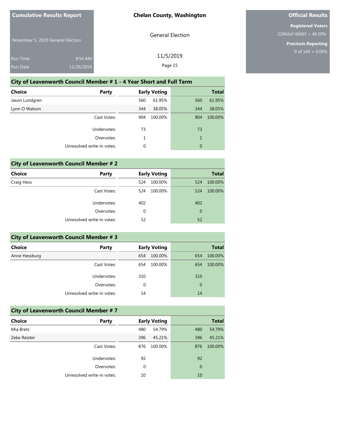General Election

November 5, 2019 General Election

| <b>Run Time</b> | $9:54$ AM  | 11/5/2019 |
|-----------------|------------|-----------|
| <b>Run Date</b> | 11/26/2019 | Page 15   |

# **City of Leavenworth Council Member # 1 - 4 Year Short and Full Term**

| Choice         | Party                      |     | <b>Early Voting</b> |     | <b>Total</b> |
|----------------|----------------------------|-----|---------------------|-----|--------------|
| Jason Lundgren |                            | 560 | 61.95%              | 560 | 61.95%       |
| Lynn O Watson  |                            | 344 | 38.05%              | 344 | 38.05%       |
|                | Cast Votes:                | 904 | 100.00%             | 904 | 100.00%      |
|                | Undervotes:                | 73  |                     | 73  |              |
|                | Overvotes:                 | 1   |                     | 1   |              |
|                | Unresolved write-in votes: | 0   |                     | 0   |              |
|                |                            |     |                     |     |              |

# **City of Leavenworth Council Member # 2**

| Choice     | Party                      |     | <b>Early Voting</b> |     | <b>Total</b> |
|------------|----------------------------|-----|---------------------|-----|--------------|
| Craig Hess |                            | 524 | 100.00%             | 524 | 100.00%      |
|            | Cast Votes:                | 524 | 100.00%             | 524 | 100.00%      |
|            | Undervotes:                | 402 |                     | 402 |              |
|            | Overvotes:                 | 0   |                     | 0   |              |
|            | Unresolved write-in votes: | 52  |                     | 52  |              |
|            |                            |     |                     |     |              |

| <b>City of Leavenworth Council Member #3</b> |                            |          |                     |     |              |
|----------------------------------------------|----------------------------|----------|---------------------|-----|--------------|
| Choice                                       | Party                      |          | <b>Early Voting</b> |     | <b>Total</b> |
| Anne Hessburg                                |                            | 654      | 100.00%             | 654 | 100.00%      |
|                                              | Cast Votes:                | 654      | 100.00%             | 654 | 100.00%      |
|                                              | Undervotes:                | 310      |                     | 310 |              |
|                                              | Overvotes:                 | $\Omega$ |                     | 0   |              |
|                                              | Unresolved write-in votes: | 14       |                     | 14  |              |

| <b>City of Leavenworth Council Member #7</b> |                            |     |                     |     |              |
|----------------------------------------------|----------------------------|-----|---------------------|-----|--------------|
| <b>Choice</b>                                | Party                      |     | <b>Early Voting</b> |     | <b>Total</b> |
| Mia Bretz                                    |                            | 480 | 54.79%              | 480 | 54.79%       |
| Zeke Reister                                 |                            | 396 | 45.21%              | 396 | 45.21%       |
|                                              | Cast Votes:                | 876 | 100.00%             | 876 | 100.00%      |
|                                              | Undervotes:                | 92  |                     | 92  |              |
|                                              | Overvotes:                 | 0   |                     | 0   |              |
|                                              | Unresolved write-in votes: | 10  |                     | 10  |              |

# **Official Results**

**Registered Voters** 22842of 46065 = 49.59%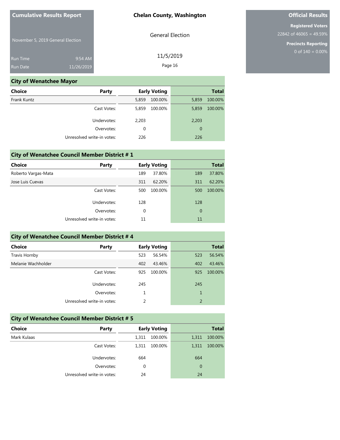General Election

11/5/2019 Page 16

November 5, 2019 General Election

| <b>Run Time</b> | $9:54$ AM  |
|-----------------|------------|
| <b>Run Date</b> | 11/26/2019 |

# **City of Wenatchee Mayor**

| <b>Choice</b>              | Party       | <b>Early Voting</b> |         |                | <b>Total</b> |
|----------------------------|-------------|---------------------|---------|----------------|--------------|
| Frank Kuntz                |             | 5,859               | 100.00% | 5,859          | 100.00%      |
|                            | Cast Votes: | 5,859               | 100.00% | 5,859          | 100.00%      |
|                            | Undervotes: | 2,203               |         | 2,203          |              |
|                            | Overvotes:  | 0                   |         | $\overline{0}$ |              |
| Unresolved write-in votes: |             | 226                 |         | 226            |              |

| <b>City of Wenatchee Council Member District #1</b> |                            |     |                     |     |              |  |
|-----------------------------------------------------|----------------------------|-----|---------------------|-----|--------------|--|
| <b>Choice</b>                                       | Party                      |     | <b>Early Voting</b> |     | <b>Total</b> |  |
| Roberto Vargas-Mata                                 |                            | 189 | 37.80%              | 189 | 37.80%       |  |
| Jose Luis Cuevas                                    |                            | 311 | 62.20%              | 311 | 62.20%       |  |
|                                                     | Cast Votes:                | 500 | 100.00%             | 500 | 100.00%      |  |
|                                                     | Undervotes:                | 128 |                     | 128 |              |  |
|                                                     | Overvotes:                 | 0   |                     | 0   |              |  |
|                                                     | Unresolved write-in votes: | 11  |                     | 11  |              |  |

| <b>City of Wenatchee Council Member District #4</b> |                              |     |         |                |         |  |  |
|-----------------------------------------------------|------------------------------|-----|---------|----------------|---------|--|--|
| <b>Choice</b>                                       | <b>Early Voting</b><br>Party |     |         | <b>Total</b>   |         |  |  |
| Travis Hornby                                       |                              | 523 | 56.54%  | 523            | 56.54%  |  |  |
| Melanie Wachholder                                  |                              | 402 | 43.46%  | 402            | 43.46%  |  |  |
|                                                     | Cast Votes:                  | 925 | 100.00% | 925            | 100.00% |  |  |
|                                                     | Undervotes:                  | 245 |         | 245            |         |  |  |
|                                                     | Overvotes:                   |     |         | $\overline{1}$ |         |  |  |
|                                                     | Unresolved write-in votes:   |     |         | $\overline{2}$ |         |  |  |

| <b>City of Wenatchee Council Member District #5</b> |                            |                     |         |             |              |
|-----------------------------------------------------|----------------------------|---------------------|---------|-------------|--------------|
| <b>Choice</b>                                       | Party                      | <b>Early Voting</b> |         |             | <b>Total</b> |
| Mark Kulaas                                         |                            | 1.311               | 100.00% | 1.311       | 100.00%      |
|                                                     | Cast Votes:                | 1.311               | 100.00% | 1.311       | 100.00%      |
|                                                     | Undervotes:                | 664                 |         | 664         |              |
|                                                     | Overvotes:                 | $\Omega$            |         | $\mathbf 0$ |              |
|                                                     | Unresolved write-in votes: | 24                  |         | 24          |              |

# **Official Results**

**Registered Voters** 22842 of 46065 = 49.59%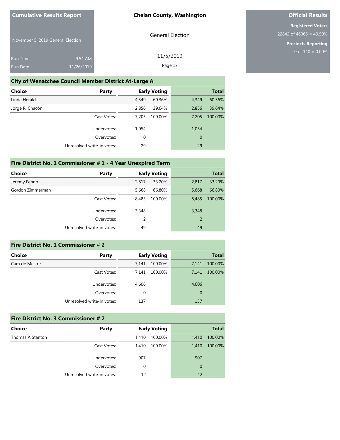General Election

11/5/2019 Page 17

November 5, 2019 General Election

| <b>Run Time</b> | $9:54$ AM  |
|-----------------|------------|
| <b>Run Date</b> | 11/26/2019 |

#### **City of Wenatchee Council Member District At-Large A**

| Choice<br>Party            |             | <b>Early Voting</b> |                | <b>Total</b> |
|----------------------------|-------------|---------------------|----------------|--------------|
| Linda Herald               | 4,349       | 60.36%              | 4,349          | 60.36%       |
| Jorge R. Chacón            | 2,856       | 39.64%              | 2,856          | 39.64%       |
| Cast Votes:                | 7,205       | 100.00%             | 7,205          | 100.00%      |
| Undervotes:                | 1,054       |                     | 1,054          |              |
| Overvotes:                 | $\mathbf 0$ |                     | $\overline{0}$ |              |
| Unresolved write-in votes: | 29          |                     | 29             |              |

### **Fire District No. 1 Commissioner # 1 - 4 Year Unexpired Term**

| <b>Choice</b>    | Party                      | <b>Early Voting</b> |         |       | <b>Total</b> |
|------------------|----------------------------|---------------------|---------|-------|--------------|
| Jeremy Fenno     |                            | 2,817               | 33.20%  | 2,817 | 33.20%       |
| Gordon Zimmerman |                            | 5,668               | 66.80%  | 5,668 | 66.80%       |
|                  | Cast Votes:                | 8,485               | 100.00% | 8,485 | 100.00%      |
|                  | Undervotes:                | 3,348               |         | 3,348 |              |
|                  | Overvotes:                 | 2                   |         | 2     |              |
|                  | Unresolved write-in votes: | 49                  |         | 49    |              |
|                  |                            |                     |         |       |              |

# **Fire District No. 1 Commissioner # 2 Choice Party Early Voting Total** Cam de Mestre 7,141 100.00% 7,141 100.00% Cast Votes: 7,141 100.00% 7,141 100.00% Undervotes: 4,606 4,606 Overvotes: 0 0 Unresolved write-in votes: 137 137 137

| <b>Fire District No. 3 Commissioner #2</b> |                            |                     |         |             |              |  |
|--------------------------------------------|----------------------------|---------------------|---------|-------------|--------------|--|
| Choice                                     | Party                      | <b>Early Voting</b> |         |             | <b>Total</b> |  |
| Thomas A Stanton                           |                            | 1,410               | 100.00% | 1.410       | 100.00%      |  |
|                                            | Cast Votes:                | 1,410               | 100.00% | 1.410       | 100.00%      |  |
|                                            | Undervotes:                | 907                 |         | 907         |              |  |
|                                            | Overvotes:                 | 0                   |         | $\mathbf 0$ |              |  |
|                                            | Unresolved write-in votes: | 12                  |         | 12          |              |  |

# **Official Results**

**Registered Voters** 22842 of 46065 = 49.59%

> **Precincts Reporting** 0 of  $140 = 0.00\%$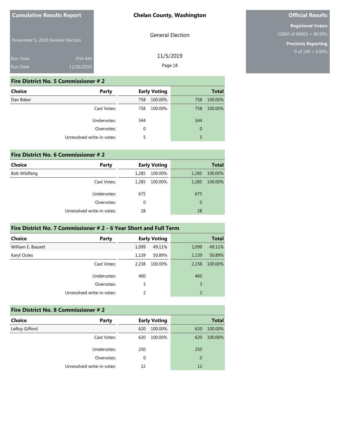November 5, 2019 General Election

| <b>Run Time</b> | $9:54$ AM  |
|-----------------|------------|
| <b>Run Date</b> | 11/26/2019 |

### General Election

11/5/2019

Page 18

#### **Fire District No. 5 Commissioner # 2**

| <b>Choice</b> | Party                      |     | <b>Early Voting</b> |             | <b>Total</b> |
|---------------|----------------------------|-----|---------------------|-------------|--------------|
| Dan Baker     |                            | 758 | 100.00%             | 758         | 100.00%      |
|               | Cast Votes:                | 758 | 100.00%             | 758         | 100.00%      |
|               | Undervotes:                | 344 |                     | 344         |              |
|               | Overvotes:                 | 0   |                     | $\mathbf 0$ |              |
|               | Unresolved write-in votes: | 5   |                     | 5           |              |

| Fire District No. 6 Commissioner #2 |                            |                     |         |                |              |  |
|-------------------------------------|----------------------------|---------------------|---------|----------------|--------------|--|
| <b>Choice</b>                       | Party                      | <b>Early Voting</b> |         |                | <b>Total</b> |  |
| Bob Wildfang                        |                            | 1,285               | 100.00% | 1,285          | 100.00%      |  |
|                                     | Cast Votes:                | 1,285               | 100.00% | 1,285          | 100.00%      |  |
|                                     | Undervotes:                | 675                 |         | 675            |              |  |
|                                     | Overvotes:                 | 0                   |         | $\overline{0}$ |              |  |
|                                     | Unresolved write-in votes: | 28                  |         | 28             |              |  |

# **Fire District No. 7 Commissioner # 2 - 6 Year Short and Full Term**

| <b>Choice</b>      | Party                      |       | <b>Early Voting</b> |                | <b>Total</b> |
|--------------------|----------------------------|-------|---------------------|----------------|--------------|
| William E. Bassett |                            | 1,099 | 49.11%              | 1,099          | 49.11%       |
| Karyl Oules        |                            | 1,139 | 50.89%              | 1,139          | 50.89%       |
|                    | Cast Votes:                | 2,238 | 100.00%             | 2,238          | 100.00%      |
|                    | Undervotes:                | 460   |                     | 460            |              |
|                    | Overvotes:                 | 3     |                     | 3              |              |
|                    | Unresolved write-in votes: | 2     |                     | $\overline{2}$ |              |

| Fire District No. 8 Commissioner # 2 |                            |                     |                |  |  |
|--------------------------------------|----------------------------|---------------------|----------------|--|--|
| <b>Choice</b>                        | Party                      | <b>Early Voting</b> | <b>Total</b>   |  |  |
| LeRoy Gifford                        |                            | 620<br>100.00%      | 100.00%<br>620 |  |  |
|                                      | Cast Votes:                | 100.00%<br>620      | 100.00%<br>620 |  |  |
|                                      | Undervotes:                | 250                 | 250            |  |  |
|                                      | Overvotes:                 | $\Omega$            | 0              |  |  |
|                                      | Unresolved write-in votes: | 12                  | 12             |  |  |

# **Official Results**

**Registered Voters** 22842 of 46065 = 49.59%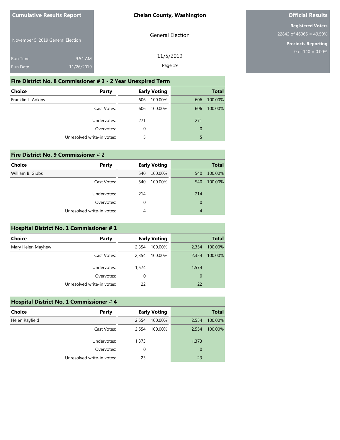General Election

November 5, 2019 General Election

| <b>Run Time</b> | $9:54$ AM  | 11/5/2019 |
|-----------------|------------|-----------|
| <b>Run Date</b> | 11/26/2019 | Page 19   |

# **Fire District No. 8 Commissioner # 3 - 2 Year Unexpired Term**

| <b>Choice</b>      | Party                      |          | <b>Early Voting</b> |             | <b>Total</b> |
|--------------------|----------------------------|----------|---------------------|-------------|--------------|
| Franklin L. Adkins |                            | 606      | 100.00%             | 606         | 100.00%      |
|                    | Cast Votes:                | 606      | 100.00%             | 606         | 100.00%      |
|                    | Undervotes:                | 271      |                     | 271         |              |
|                    | Overvotes:                 | $\Omega$ |                     | $\mathbf 0$ |              |
|                    | Unresolved write-in votes: | 5        |                     | 5           |              |

# **Fire District No. 9 Commissioner # 2 Choice Party Early Voting Party Early Voting** William B. Gibbs 540 100.00% 540 100.00% 540 100.00% Cast Votes: 540 100.00% 540 100.00% Undervotes: 214 214 Overvotes: 0 0 Unresolved write-in votes: 4 4

#### **Hospital District No. 1 Commissioner # 1**

| <b>Choice</b>     | Party                      |          | <b>Early Voting</b> |             | <b>Total</b> |
|-------------------|----------------------------|----------|---------------------|-------------|--------------|
| Mary Helen Mayhew |                            | 2,354    | 100.00%             | 2,354       | 100.00%      |
|                   | Cast Votes:                | 2.354    | 100.00%             | 2,354       | 100.00%      |
|                   | Undervotes:                | 1,574    |                     | 1,574       |              |
|                   | Overvotes:                 | $\Omega$ |                     | $\mathbf 0$ |              |
|                   | Unresolved write-in votes: | 22       |                     | 22          |              |

| <b>Hospital District No. 1 Commissioner #4</b> |                            |       |                     |                |              |
|------------------------------------------------|----------------------------|-------|---------------------|----------------|--------------|
| <b>Choice</b>                                  | Party                      |       | <b>Early Voting</b> |                | <b>Total</b> |
| Helen Rayfield                                 |                            | 2,554 | 100.00%             | 2,554          | 100.00%      |
|                                                | Cast Votes:                | 2.554 | 100.00%             | 2.554          | 100.00%      |
|                                                | Undervotes:                | 1,373 |                     | 1,373          |              |
|                                                | Overvotes:                 | 0     |                     | $\overline{0}$ |              |
|                                                | Unresolved write-in votes: | 23    |                     | 23             |              |

# **Official Results**

**Registered Voters** 22842 of 46065 = 49.59%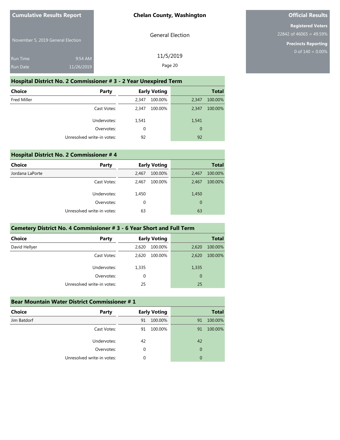General Election

November 5, 2019 General Election

| <b>Run Time</b> | $9:54$ AM  | 11/5/2019 |
|-----------------|------------|-----------|
|                 |            | Page 20   |
| Run Date        | 11/26/2019 |           |

# **Hospital District No. 2 Commissioner # 3 - 2 Year Unexpired Term**

| Choice             | Party                      | <b>Early Voting</b> |             | <b>Total</b> |
|--------------------|----------------------------|---------------------|-------------|--------------|
| <b>Fred Miller</b> |                            | 100.00%<br>2,347    | 2,347       | 100.00%      |
|                    | Cast Votes:                | 100.00%<br>2.347    | 2.347       | 100.00%      |
|                    | Undervotes:                | 1,541               | 1,541       |              |
|                    | Overvotes:                 | 0                   | $\mathbf 0$ |              |
|                    | Unresolved write-in votes: | 92                  | 92          |              |

| <b>Hospital District No. 2 Commissioner #4</b> |                            |       |                     |       |              |
|------------------------------------------------|----------------------------|-------|---------------------|-------|--------------|
| Choice                                         | Party                      |       | <b>Early Voting</b> |       | <b>Total</b> |
| Jordana LaPorte                                |                            | 2,467 | 100.00%             | 2,467 | 100.00%      |
|                                                | Cast Votes:                | 2,467 | 100.00%             | 2.467 | 100.00%      |
|                                                | Undervotes:                | 1,450 |                     | 1,450 |              |
|                                                | Overvotes:                 | 0     |                     | 0     |              |
|                                                | Unresolved write-in votes: | 63    |                     | 63    |              |

# **Cemetery District No. 4 Commissioner # 3 - 6 Year Short and Full Term**

| <b>Choice</b> | <b>Party</b>               |       | <b>Early Voting</b> |       | <b>Total</b> |
|---------------|----------------------------|-------|---------------------|-------|--------------|
| David Hellyer |                            | 2,620 | 100.00%             | 2,620 | 100.00%      |
|               | Cast Votes:                | 2.620 | 100.00%             | 2,620 | 100.00%      |
|               | Undervotes:                | 1,335 |                     | 1,335 |              |
|               | Overvotes:                 | 0     |                     | 0     |              |
|               | Unresolved write-in votes: | 25    |                     | 25    |              |

| <b>Bear Mountain Water District Commissioner #1</b> |                            |    |                     |    |              |
|-----------------------------------------------------|----------------------------|----|---------------------|----|--------------|
| <b>Choice</b>                                       | Party                      |    | <b>Early Voting</b> |    | <b>Total</b> |
| Jim Batdorf                                         |                            | 91 | 100.00%             | 91 | 100.00%      |
|                                                     | Cast Votes:                | 91 | 100.00%             | 91 | 100.00%      |
|                                                     | Undervotes:                | 42 |                     | 42 |              |
|                                                     | Overvotes:                 | 0  |                     | 0  |              |
|                                                     | Unresolved write-in votes: | 0  |                     | 0  |              |

# **Official Results**

**Registered Voters** 22842 of 46065 = 49.59%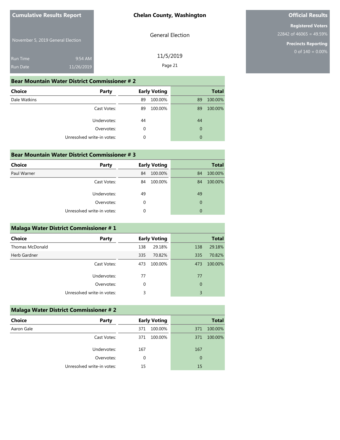General Election

11/5/2019 Page 21

November 5, 2019 General Election

| Run Time | $9:54$ AM  |
|----------|------------|
| Run Date | 11/26/2019 |

#### **Bear Mountain Water District Commissioner # 2**

| <b>Choice</b><br>Party     | <b>Early Voting</b> | <b>Total</b>  |
|----------------------------|---------------------|---------------|
| Dale Watkins               | 100.00%<br>89       | 100.00%<br>89 |
| Cast Votes:                | 100.00%<br>89       | 100.00%<br>89 |
| Undervotes:                | 44                  | 44            |
| Overvotes:                 | 0                   | $\mathbf 0$   |
| Unresolved write-in votes: | 0                   | $\mathbf 0$   |

# **Bear Mountain Water District Commissioner # 3**

| <b>Choice</b> | Party                      |    | <b>Early Voting</b> |             | <b>Total</b> |
|---------------|----------------------------|----|---------------------|-------------|--------------|
| Paul Warner   |                            | 84 | 100.00%             | 84          | 100.00%      |
|               | Cast Votes:                | 84 | 100.00%             | 84          | 100.00%      |
|               | Undervotes:                | 49 |                     | 49          |              |
|               | Overvotes:                 | 0  |                     | $\mathbf 0$ |              |
|               | Unresolved write-in votes: | 0  |                     | 0           |              |

#### **Malaga Water District Commissioner # 1**

| <b>Choice</b>   | Party                      |     | <b>Early Voting</b> |             | <b>Total</b> |
|-----------------|----------------------------|-----|---------------------|-------------|--------------|
| Thomas McDonald |                            | 138 | 29.18%              | 138         | 29.18%       |
| Herb Gardner    |                            | 335 | 70.82%              | 335         | 70.82%       |
|                 | Cast Votes:                | 473 | 100.00%             | 473         | 100.00%      |
|                 | Undervotes:                | 77  |                     | 77          |              |
|                 | Overvotes:                 | 0   |                     | $\mathbf 0$ |              |
|                 | Unresolved write-in votes: | 3   |                     | 3           |              |

# **Malaga Water District Commissioner # 2 Choice Party Early Voting Party Early Voting** Aaron Gale 371 100.00% 371 100.00% Cast Votes: 371 100.00% 371 100.00% Undervotes: 167 167 167 Overvotes: 0 0 Unresolved write-in votes: 15 15

# **Official Results**

**Registered Voters** 22842 of 46065 = 49.59%

> **Precincts Reporting** 0 of  $140 = 0.00\%$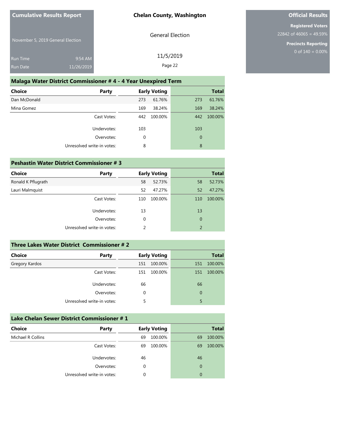General Election

November 5, 2019 General Election

| <b>Run Time</b> | $9:54$ AM  | 11/5/2019 |
|-----------------|------------|-----------|
|                 |            |           |
| <b>Run Date</b> | 11/26/2019 | Page 22   |

# **Malaga Water District Commissioner # 4 - 4 Year Unexpired Term**

| Choice       | Party                      |             | <b>Early Voting</b> |                | <b>Total</b> |
|--------------|----------------------------|-------------|---------------------|----------------|--------------|
| Dan McDonald |                            | 273         | 61.76%              | 273            | 61.76%       |
| Mina Gomez   |                            | 169         | 38.24%              | 169            | 38.24%       |
|              | Cast Votes:                | 442         | 100.00%             | 442            | 100.00%      |
|              | Undervotes:                | 103         |                     | 103            |              |
|              | Overvotes:                 | $\mathbf 0$ |                     | $\overline{0}$ |              |
|              | Unresolved write-in votes: | 8           |                     | 8              |              |
|              |                            |             |                     |                |              |

# **Peshastin Water District Commissioner # 3**

| Choice             | <b>Party</b>               |               | <b>Early Voting</b> |                | <b>Total</b> |
|--------------------|----------------------------|---------------|---------------------|----------------|--------------|
| Ronald K Pflugrath |                            | 58            | 52.73%              | 58             | 52.73%       |
| Lauri Malmquist    |                            | 52            | 47.27%              | 52             | 47.27%       |
|                    | Cast Votes:                | 110           | 100.00%             | 110            | 100.00%      |
|                    | Undervotes:                | 13            |                     | 13             |              |
|                    | Overvotes:                 | 0             |                     | $\mathbf 0$    |              |
|                    | Unresolved write-in votes: | $\mathcal{P}$ |                     | $\overline{2}$ |              |
|                    |                            |               |                     |                |              |

| Three Lakes Water District Commissioner # 2 |                            |     |                     |          |              |
|---------------------------------------------|----------------------------|-----|---------------------|----------|--------------|
| <b>Choice</b>                               | Party                      |     | <b>Early Voting</b> |          | <b>Total</b> |
| Gregory Kardos                              |                            | 151 | 100.00%             | 151      | 100.00%      |
|                                             | Cast Votes:                | 151 | 100.00%             | 151      | 100.00%      |
|                                             | Undervotes:                | 66  |                     | 66       |              |
|                                             | Overvotes:                 | 0   |                     | $\Omega$ |              |
|                                             | Unresolved write-in votes: |     |                     | 5        |              |

| Lake Chelan Sewer District Commissioner # 1 |                            |    |                     |                |              |
|---------------------------------------------|----------------------------|----|---------------------|----------------|--------------|
| <b>Choice</b>                               | Party                      |    | <b>Early Voting</b> |                | <b>Total</b> |
| Michael R Collins                           |                            | 69 | 100.00%             | 69             | 100.00%      |
|                                             | Cast Votes:                | 69 | 100.00%             | 69             | 100.00%      |
|                                             | Undervotes:                | 46 |                     | 46             |              |
|                                             | Overvotes:                 | 0  |                     | $\overline{0}$ |              |
|                                             | Unresolved write-in votes: | 0  |                     | $\Omega$       |              |

# **Official Results**

**Registered Voters** 22842 of 46065 = 49.59%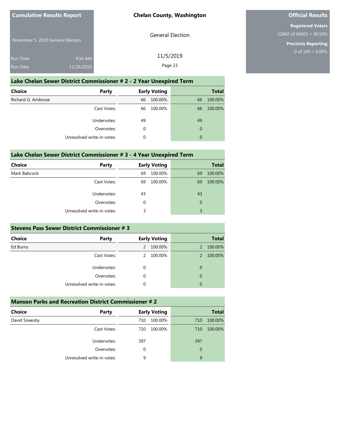General Election

November 5, 2019 General Election

| <b>Run Time</b> | $9:54$ AM  | 11/5/2019 |
|-----------------|------------|-----------|
| <b>Run Date</b> | 11/26/2019 | Page 23   |

# **Lake Chelan Sewer District Commissioner # 2 - 2 Year Unexpired Term**

| <b>Choice</b>      | Party                      |    | <b>Early Voting</b> |             | <b>Total</b> |
|--------------------|----------------------------|----|---------------------|-------------|--------------|
| Richard G. Ambrose |                            | 66 | 100.00%             | 66          | 100.00%      |
|                    | Cast Votes:                | 66 | 100.00%             | 66          | 100.00%      |
|                    | Undervotes:                | 49 |                     | 49          |              |
|                    | Overvotes:                 | 0  |                     | $\mathbf 0$ |              |
|                    | Unresolved write-in votes: | 0  |                     | $\mathbf 0$ |              |

#### **Lake Chelan Sewer District Commissioner # 3 - 4 Year Unexpired Term**

| <b>Choice</b> | Party                      |    | <b>Early Voting</b> |             | <b>Total</b> |
|---------------|----------------------------|----|---------------------|-------------|--------------|
| Mark Babcock  |                            | 69 | 100.00%             | 69          | 100.00%      |
|               | Cast Votes:                | 69 | 100.00%             | 69          | 100.00%      |
|               | Undervotes:                | 43 |                     | 43          |              |
|               | Overvotes:                 | 0  |                     | $\mathbf 0$ |              |
|               | Unresolved write-in votes: | 3  |                     | 3           |              |

#### **Stevens Pass Sewer District Commissioner # 3**

| <b>Choice</b> | <b>Party</b>               | <b>Early Voting</b> | <b>Total</b>             |
|---------------|----------------------------|---------------------|--------------------------|
| Ed Burns      |                            | 100.00%<br>2        | 100.00%<br>2             |
|               | Cast Votes:                | 100.00%             | 100.00%<br>$\mathcal{P}$ |
|               | Undervotes:                | 0                   | 0                        |
|               | Overvotes:                 | 0                   | 0                        |
|               | Unresolved write-in votes: | 0                   | 0                        |

| <b>Manson Parks and Recreation District Commissioner #2</b> |                            |                     |                |  |
|-------------------------------------------------------------|----------------------------|---------------------|----------------|--|
| Choice                                                      | Party                      | <b>Early Voting</b> | <b>Total</b>   |  |
| David Sneesby                                               |                            | 100.00%<br>710      | 100.00%<br>710 |  |
|                                                             | Cast Votes:                | 100.00%<br>710      | 100.00%<br>710 |  |
|                                                             | Undervotes:                | 397                 | 397            |  |
|                                                             | Overvotes:                 | 0                   | $\mathbf 0$    |  |
|                                                             | Unresolved write-in votes: | 9                   | 9              |  |

# **Official Results**

**Registered Voters** 22842 of 46065 = 49.59%